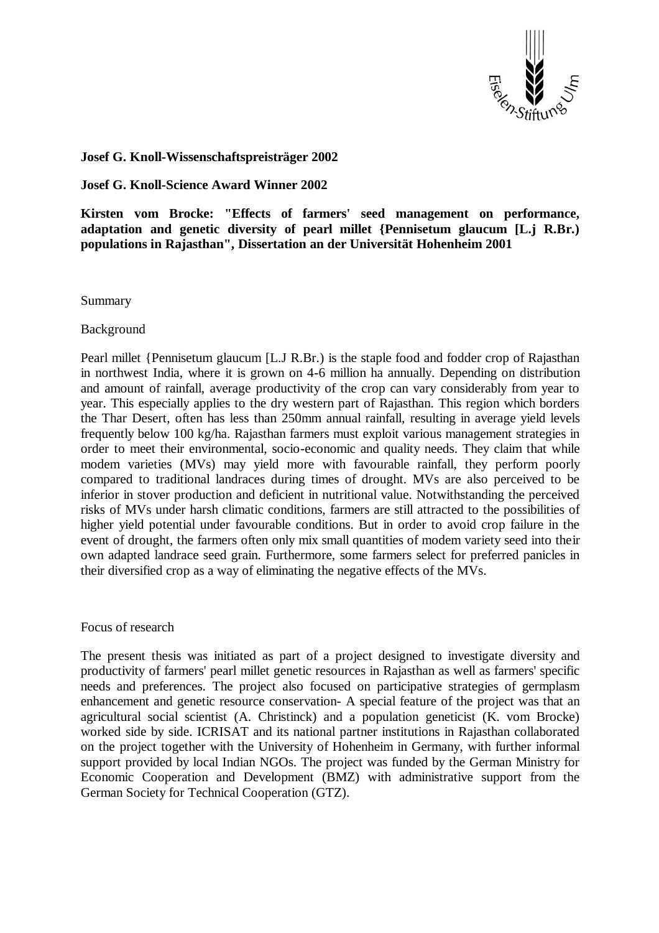

## **Josef G. Knoll-Wissenschaftspreisträger 2002**

**Josef G. Knoll-Science Award Winner 2002**

**Kirsten vom Brocke: "Effects of farmers' seed management on performance, adaptation and genetic diversity of pearl millet {Pennisetum glaucum [L.j R.Br.) populations in Rajasthan", Dissertation an der Universität Hohenheim 2001**

Summary

Background

Pearl millet {Pennisetum glaucum [L.J R.Br.) is the staple food and fodder crop of Rajasthan in northwest India, where it is grown on 4-6 million ha annually. Depending on distribution and amount of rainfall, average productivity of the crop can vary considerably from year to year. This especially applies to the dry western part of Rajasthan. This region which borders the Thar Desert, often has less than 250mm annual rainfall, resulting in average yield levels frequently below 100 kg/ha. Rajasthan farmers must exploit various management strategies in order to meet their environmental, socio-economic and quality needs. They claim that while modem varieties (MVs) may yield more with favourable rainfall, they perform poorly compared to traditional landraces during times of drought. MVs are also perceived to be inferior in stover production and deficient in nutritional value. Notwithstanding the perceived risks of MVs under harsh climatic conditions, farmers are still attracted to the possibilities of higher yield potential under favourable conditions. But in order to avoid crop failure in the event of drought, the farmers often only mix small quantities of modem variety seed into their own adapted landrace seed grain. Furthermore, some farmers select for preferred panicles in their diversified crop as a way of eliminating the negative effects of the MVs.

Focus of research

The present thesis was initiated as part of a project designed to investigate diversity and productivity of farmers' pearl millet genetic resources in Rajasthan as well as farmers' specific needs and preferences. The project also focused on participative strategies of germplasm enhancement and genetic resource conservation- A special feature of the project was that an agricultural social scientist (A. Christinck) and a population geneticist (K. vom Brocke) worked side by side. ICRISAT and its national partner institutions in Rajasthan collaborated on the project together with the University of Hohenheim in Germany, with further informal support provided by local Indian NGOs. The project was funded by the German Ministry for Economic Cooperation and Development (BMZ) with administrative support from the German Society for Technical Cooperation (GTZ).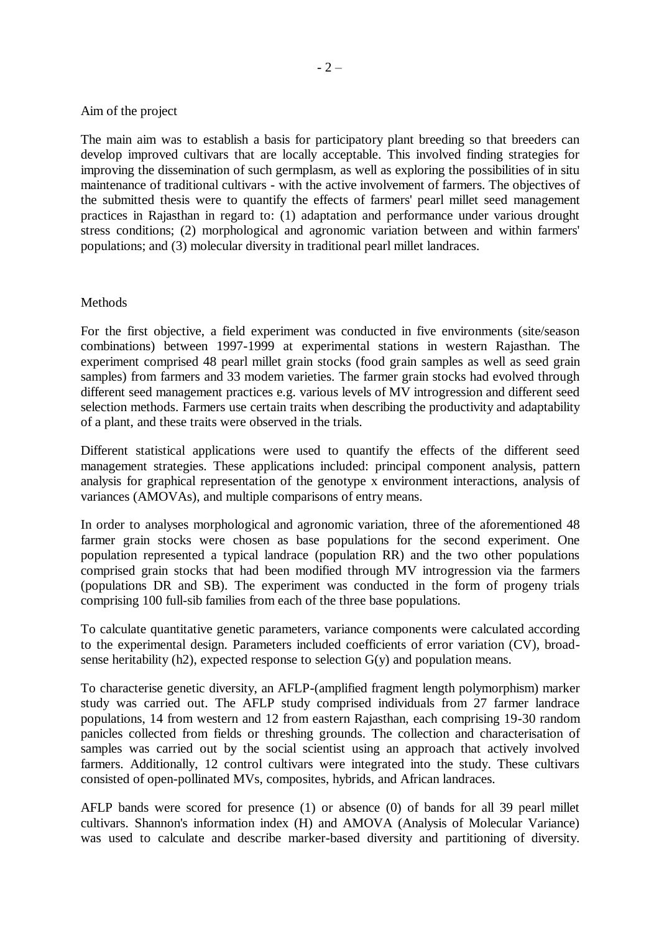## Aim of the project

The main aim was to establish a basis for participatory plant breeding so that breeders can develop improved cultivars that are locally acceptable. This involved finding strategies for improving the dissemination of such germplasm, as well as exploring the possibilities of in situ maintenance of traditional cultivars - with the active involvement of farmers. The objectives of the submitted thesis were to quantify the effects of farmers' pearl millet seed management practices in Rajasthan in regard to: (1) adaptation and performance under various drought stress conditions; (2) morphological and agronomic variation between and within farmers' populations; and (3) molecular diversity in traditional pearl millet landraces.

## **Methods**

For the first objective, a field experiment was conducted in five environments (site/season combinations) between 1997-1999 at experimental stations in western Rajasthan. The experiment comprised 48 pearl millet grain stocks (food grain samples as well as seed grain samples) from farmers and 33 modem varieties. The farmer grain stocks had evolved through different seed management practices e.g. various levels of MV introgression and different seed selection methods. Farmers use certain traits when describing the productivity and adaptability of a plant, and these traits were observed in the trials.

Different statistical applications were used to quantify the effects of the different seed management strategies. These applications included: principal component analysis, pattern analysis for graphical representation of the genotype x environment interactions, analysis of variances (AMOVAs), and multiple comparisons of entry means.

In order to analyses morphological and agronomic variation, three of the aforementioned 48 farmer grain stocks were chosen as base populations for the second experiment. One population represented a typical landrace (population RR) and the two other populations comprised grain stocks that had been modified through MV introgression via the farmers (populations DR and SB). The experiment was conducted in the form of progeny trials comprising 100 full-sib families from each of the three base populations.

To calculate quantitative genetic parameters, variance components were calculated according to the experimental design. Parameters included coefficients of error variation (CV), broadsense heritability  $(h2)$ , expected response to selection  $G(y)$  and population means.

To characterise genetic diversity, an AFLP-(amplified fragment length polymorphism) marker study was carried out. The AFLP study comprised individuals from 27 farmer landrace populations, 14 from western and 12 from eastern Rajasthan, each comprising 19-30 random panicles collected from fields or threshing grounds. The collection and characterisation of samples was carried out by the social scientist using an approach that actively involved farmers. Additionally, 12 control cultivars were integrated into the study. These cultivars consisted of open-pollinated MVs, composites, hybrids, and African landraces.

AFLP bands were scored for presence (1) or absence (0) of bands for all 39 pearl millet cultivars. Shannon's information index (H) and AMOVA (Analysis of Molecular Variance) was used to calculate and describe marker-based diversity and partitioning of diversity.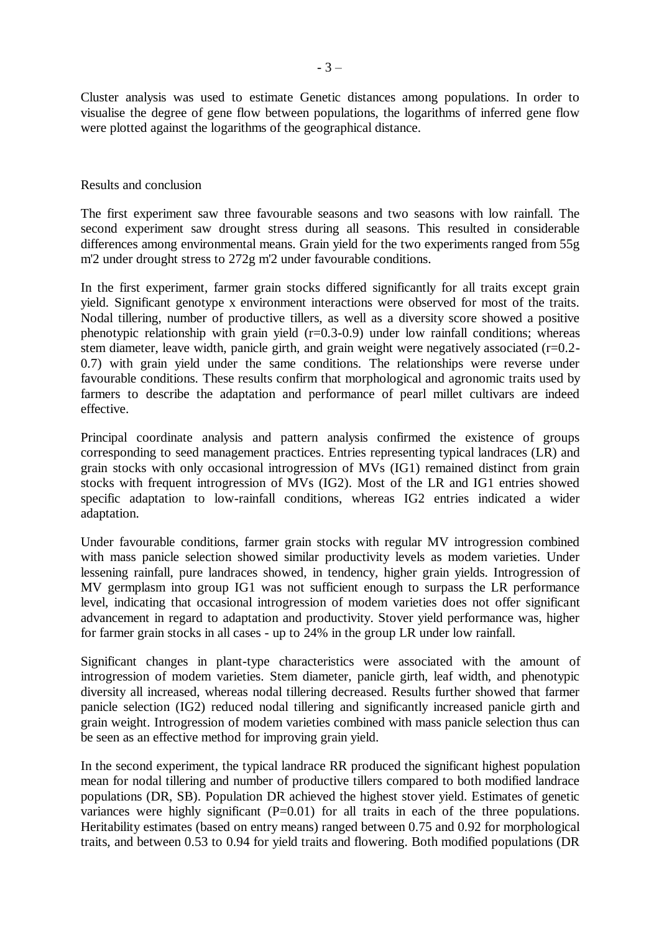Cluster analysis was used to estimate Genetic distances among populations. In order to visualise the degree of gene flow between populations, the logarithms of inferred gene flow were plotted against the logarithms of the geographical distance.

## Results and conclusion

The first experiment saw three favourable seasons and two seasons with low rainfall. The second experiment saw drought stress during all seasons. This resulted in considerable differences among environmental means. Grain yield for the two experiments ranged from 55g m'2 under drought stress to 272g m'2 under favourable conditions.

In the first experiment, farmer grain stocks differed significantly for all traits except grain yield. Significant genotype x environment interactions were observed for most of the traits. Nodal tillering, number of productive tillers, as well as a diversity score showed a positive phenotypic relationship with grain yield  $(r=0.3-0.9)$  under low rainfall conditions; whereas stem diameter, leave width, panicle girth, and grain weight were negatively associated  $(r=0.2-$ 0.7) with grain yield under the same conditions. The relationships were reverse under favourable conditions. These results confirm that morphological and agronomic traits used by farmers to describe the adaptation and performance of pearl millet cultivars are indeed effective.

Principal coordinate analysis and pattern analysis confirmed the existence of groups corresponding to seed management practices. Entries representing typical landraces (LR) and grain stocks with only occasional introgression of MVs (IG1) remained distinct from grain stocks with frequent introgression of MVs (IG2). Most of the LR and IG1 entries showed specific adaptation to low-rainfall conditions, whereas IG2 entries indicated a wider adaptation.

Under favourable conditions, farmer grain stocks with regular MV introgression combined with mass panicle selection showed similar productivity levels as modem varieties. Under lessening rainfall, pure landraces showed, in tendency, higher grain yields. Introgression of MV germplasm into group IG1 was not sufficient enough to surpass the LR performance level, indicating that occasional introgression of modem varieties does not offer significant advancement in regard to adaptation and productivity. Stover yield performance was, higher for farmer grain stocks in all cases - up to 24% in the group LR under low rainfall.

Significant changes in plant-type characteristics were associated with the amount of introgression of modem varieties. Stem diameter, panicle girth, leaf width, and phenotypic diversity all increased, whereas nodal tillering decreased. Results further showed that farmer panicle selection (IG2) reduced nodal tillering and significantly increased panicle girth and grain weight. Introgression of modem varieties combined with mass panicle selection thus can be seen as an effective method for improving grain yield.

In the second experiment, the typical landrace RR produced the significant highest population mean for nodal tillering and number of productive tillers compared to both modified landrace populations (DR, SB). Population DR achieved the highest stover yield. Estimates of genetic variances were highly significant  $(P=0.01)$  for all traits in each of the three populations. Heritability estimates (based on entry means) ranged between 0.75 and 0.92 for morphological traits, and between 0.53 to 0.94 for yield traits and flowering. Both modified populations (DR